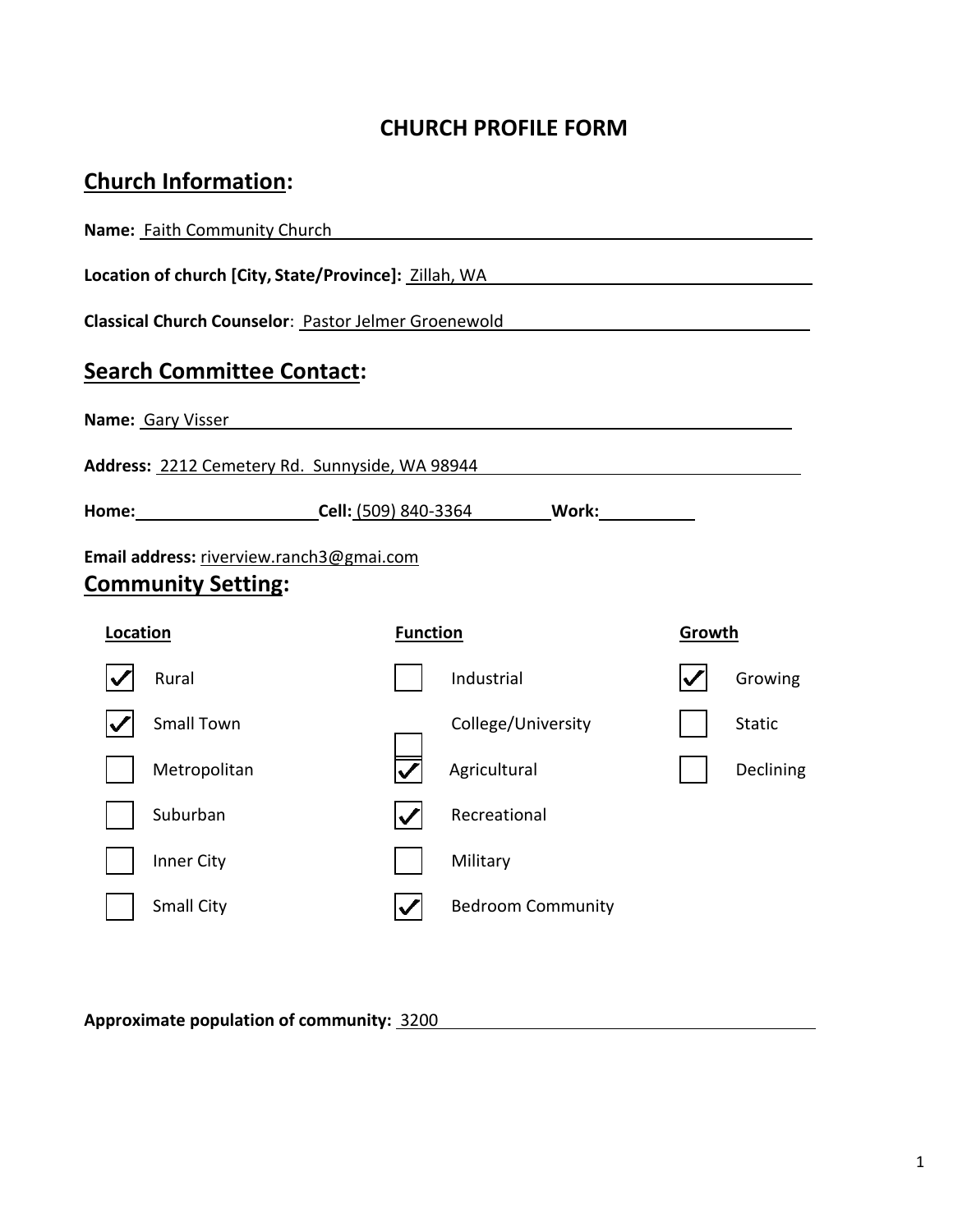# **CHURCH PROFILE FORM**

# **Church Information:**

| Name: Faith Community Church |                                                                                                                |                 |                                                                                                                       |        |               |  |
|------------------------------|----------------------------------------------------------------------------------------------------------------|-----------------|-----------------------------------------------------------------------------------------------------------------------|--------|---------------|--|
|                              | Location of church [City, State/Province]: Zillah, WA New York New York New York New York New York New York Ne |                 |                                                                                                                       |        |               |  |
|                              | Classical Church Counselor: Pastor Jelmer Groenewold                                                           |                 |                                                                                                                       |        |               |  |
|                              | <b>Search Committee Contact:</b>                                                                               |                 |                                                                                                                       |        |               |  |
|                              | <b>Name:</b> Gary Visser <b>Name:</b> Cary Visser                                                              |                 |                                                                                                                       |        |               |  |
|                              | Address: 2212 Cemetery Rd. Sunnyside, WA 98944                                                                 |                 | <u> 1989 - Johann Harry Barn, mars ar breist fan de Fryske kommunent fan de ferstjerke fan de ferstjerke fan de f</u> |        |               |  |
|                              | Home: Cell: (509) 840-3364 Work: Work:                                                                         |                 |                                                                                                                       |        |               |  |
|                              | Email address: riverview.ranch3@gmai.com<br><b>Community Setting:</b>                                          |                 |                                                                                                                       |        |               |  |
| Location                     |                                                                                                                | <b>Function</b> |                                                                                                                       | Growth |               |  |
|                              | Rural                                                                                                          |                 | Industrial                                                                                                            |        | Growing       |  |
|                              | <b>Small Town</b>                                                                                              |                 | College/University                                                                                                    |        | <b>Static</b> |  |
|                              | Metropolitan<br>Agricultural<br>Declining                                                                      |                 |                                                                                                                       |        |               |  |
|                              | Suburban                                                                                                       |                 | Recreational                                                                                                          |        |               |  |
|                              | Inner City                                                                                                     |                 | Military                                                                                                              |        |               |  |
|                              | Small City                                                                                                     |                 | <b>Bedroom Community</b>                                                                                              |        |               |  |

**Approximate population of community:** 3200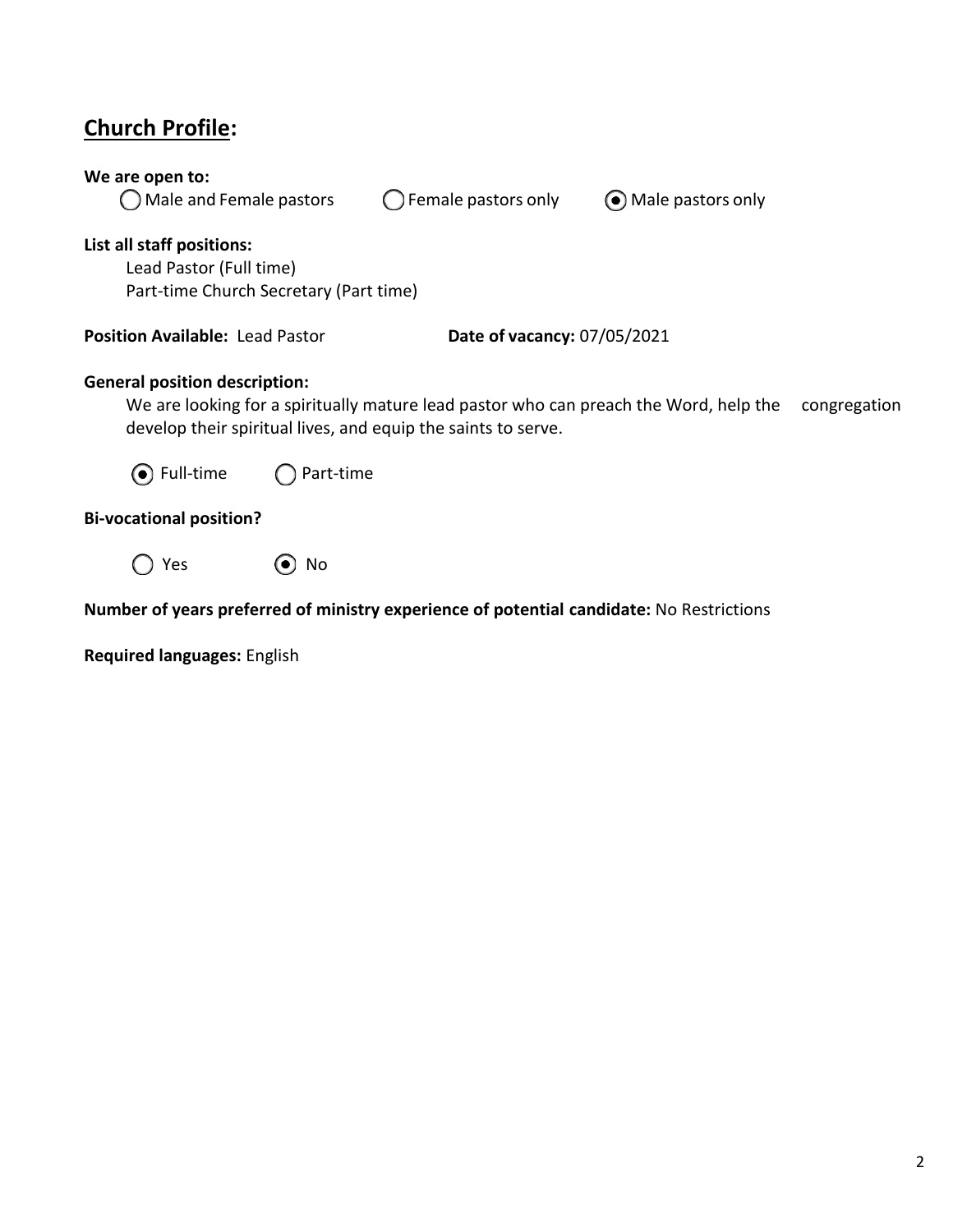# **Church Profile:**

| We are open to:<br>Male and Female pastors                                                                                                                                                                     |                                                                              | Female pastors only | • Male pastors only |  |  |  |  |  |  |
|----------------------------------------------------------------------------------------------------------------------------------------------------------------------------------------------------------------|------------------------------------------------------------------------------|---------------------|---------------------|--|--|--|--|--|--|
| List all staff positions:<br>Lead Pastor (Full time)<br>Part-time Church Secretary (Part time)                                                                                                                 |                                                                              |                     |                     |  |  |  |  |  |  |
|                                                                                                                                                                                                                | <b>Position Available: Lead Pastor</b><br><b>Date of vacancy: 07/05/2021</b> |                     |                     |  |  |  |  |  |  |
| <b>General position description:</b><br>We are looking for a spiritually mature lead pastor who can preach the Word, help the<br>congregation<br>develop their spiritual lives, and equip the saints to serve. |                                                                              |                     |                     |  |  |  |  |  |  |
| ⊙ Full-time                                                                                                                                                                                                    | Part-time                                                                    |                     |                     |  |  |  |  |  |  |
| <b>Bi-vocational position?</b>                                                                                                                                                                                 |                                                                              |                     |                     |  |  |  |  |  |  |
| Yes                                                                                                                                                                                                            | No                                                                           |                     |                     |  |  |  |  |  |  |

## **Number of years preferred of ministry experience of potential candidate:** No Restrictions

**Required languages:** English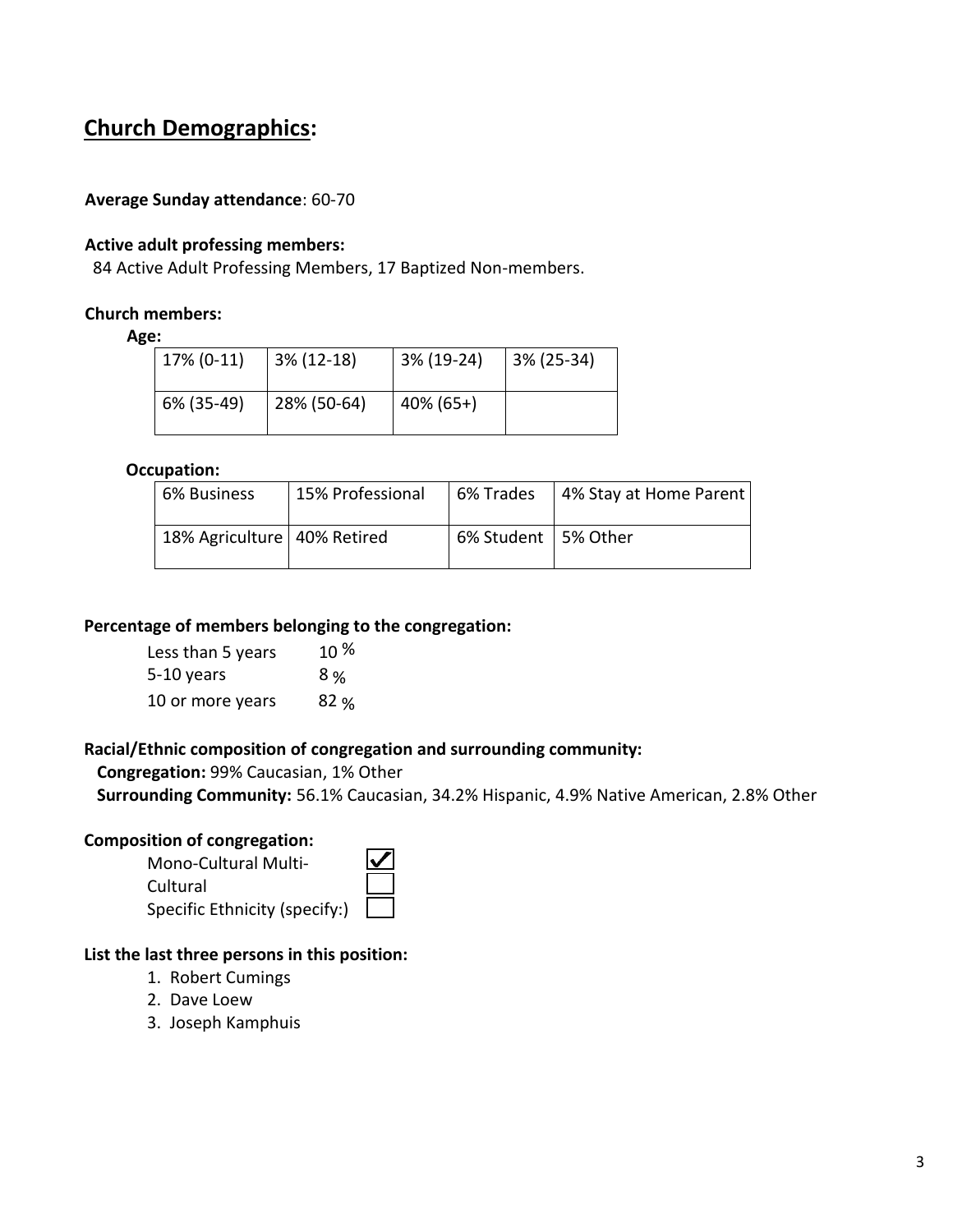# **Church Demographics:**

#### **Average Sunday attendance**: 60-70

#### **Active adult professing members:**

84 Active Adult Professing Members, 17 Baptized Non-members.

#### **Church members:**

#### **Age:**

| 17% (0-11) | $3\%$ (12-18) | 3% (19-24)   | 3% (25-34) |
|------------|---------------|--------------|------------|
| 6% (35-49) | 28% (50-64)   | $40\%$ (65+) |            |

#### **Occupation:**

| 6% Business                   | 15% Professional | 6% Trades             | 4% Stay at Home Parent |
|-------------------------------|------------------|-----------------------|------------------------|
| 18% Agriculture   40% Retired |                  | 6% Student   5% Other |                        |

#### **Percentage of members belonging to the congregation:**

| Less than 5 years | $10\%$ |
|-------------------|--------|
| 5-10 years        | 8 %    |
| 10 or more years  | 82%    |

#### **Racial/Ethnic composition of congregation and surrounding community:**

**Congregation:** 99% Caucasian, 1% Other

**Surrounding Community:** 56.1% Caucasian, 34.2% Hispanic, 4.9% Native American, 2.8% Other

#### **Composition of congregation:**

| <b>Mono-Cultural Multi-</b>   |  |
|-------------------------------|--|
| Cultural                      |  |
| Specific Ethnicity (specify:) |  |

#### **List the last three persons in this position:**

- 1. Robert Cumings
- 2. Dave Loew
- 3. Joseph Kamphuis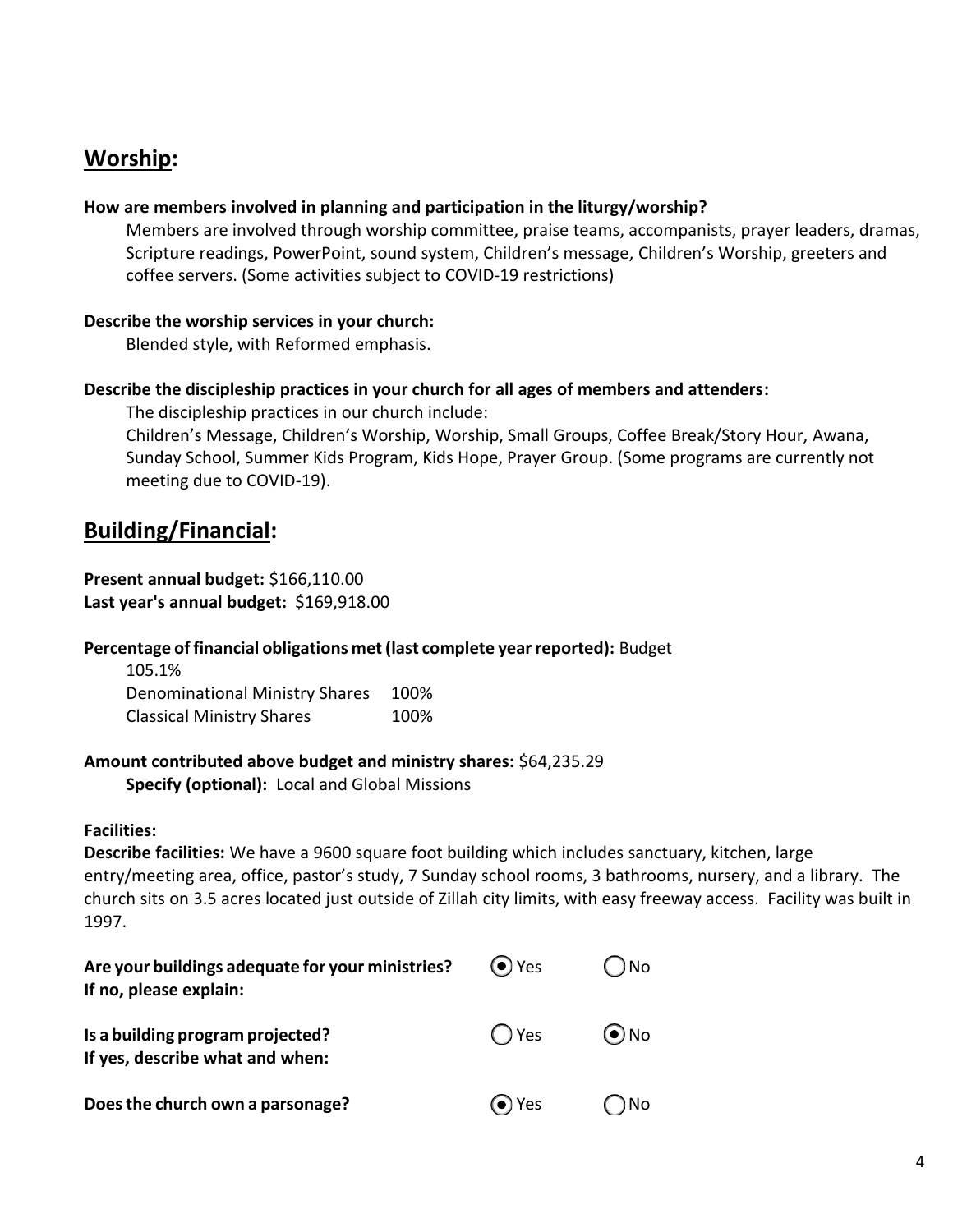# **Worship:**

#### **How are members involved in planning and participation in the liturgy/worship?**

Members are involved through worship committee, praise teams, accompanists, prayer leaders, dramas, Scripture readings, PowerPoint, sound system, Children's message, Children's Worship, greeters and coffee servers. (Some activities subject to COVID-19 restrictions)

#### **Describe the worship services in your church:**

Blended style, with Reformed emphasis.

#### **Describe the discipleship practices in your church for all ages of members and attenders:**

The discipleship practices in our church include:

Children's Message, Children's Worship, Worship, Small Groups, Coffee Break/Story Hour, Awana, Sunday School, Summer Kids Program, Kids Hope, Prayer Group. (Some programs are currently not meeting due to COVID-19).

## **Building/Financial:**

#### **Present annual budget:** \$166,110.00 **Last year's annual budget:** \$169,918.00

### **Percentage of financial obligations met(last complete yearreported):** Budget

| 105.1%                           |      |
|----------------------------------|------|
| Denominational Ministry Shares   | 100% |
| <b>Classical Ministry Shares</b> | 100% |

#### **Amount contributed above budget and ministry shares:** \$64,235.29 **Specify (optional):** Local and Global Missions

### **Facilities:**

**Describe facilities:** We have a 9600 square foot building which includes sanctuary, kitchen, large entry/meeting area, office, pastor's study, 7 Sunday school rooms, 3 bathrooms, nursery, and a library. The church sits on 3.5 acres located just outside of Zillah city limits, with easy freeway access. Facility was built in 1997.

| Are your buildings adequate for your ministries?<br>If no, please explain: | $\left(\bullet\right)$ Yes | ) No       |
|----------------------------------------------------------------------------|----------------------------|------------|
| Is a building program projected?<br>If yes, describe what and when:        | $\bigcap$ Yes              | $\odot$ No |
| Does the church own a parsonage?                                           | (●) Yes                    | ) No       |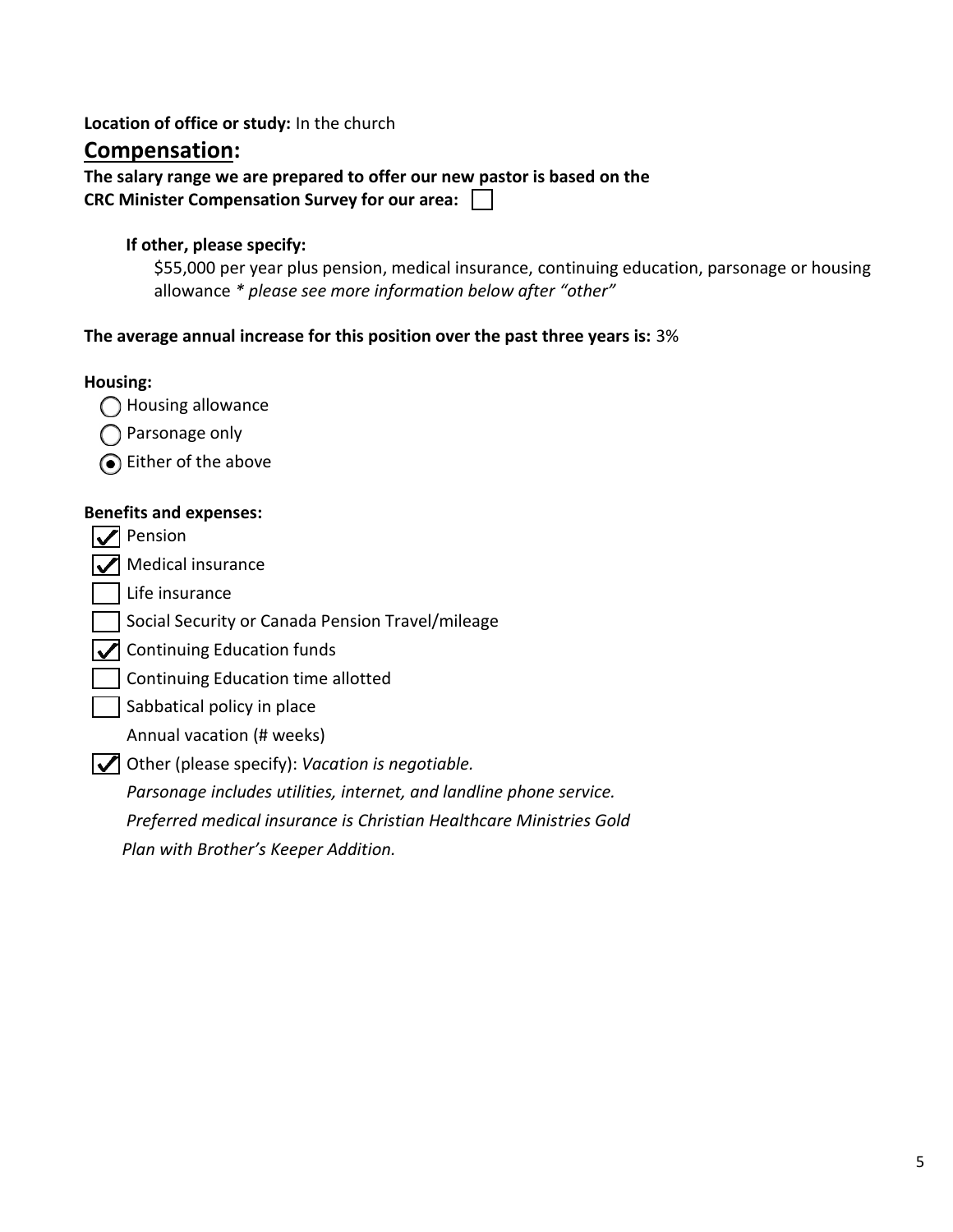### **Location of office or study:** In the church

### **Compensation:**

**The salary range we are prepared to offer our new pastor is based on the CRC Minister Compensation Survey for our area:**

#### **If other, please specify:**

\$55,000 per year plus pension, medical insurance, continuing education, parsonage or housing allowance *\* please see more information below after "other"*

#### **The average annual increase for this position over the past three years is:** 3%

#### **Housing:**

- ◯ Housing allowance
- ◯ Parsonage only
- Either of the above

#### **Benefits and expenses:**

**V** Pension

 $\sqrt{\phantom{a}}$  Medical insurance

 $\Box$  Life insurance

Social Security or Canada Pension Travel/mileage

 $\sqrt{\phantom{a}}$  Continuing Education funds

- Continuing Education time allotted
- Sabbatical policy in place

Annual vacation (# weeks)

Other (please specify): *Vacation is negotiable.* 

*Parsonage includes utilities, internet, and landline phone service. Preferred medical insurance is Christian Healthcare Ministries Gold Plan with Brother's Keeper Addition.*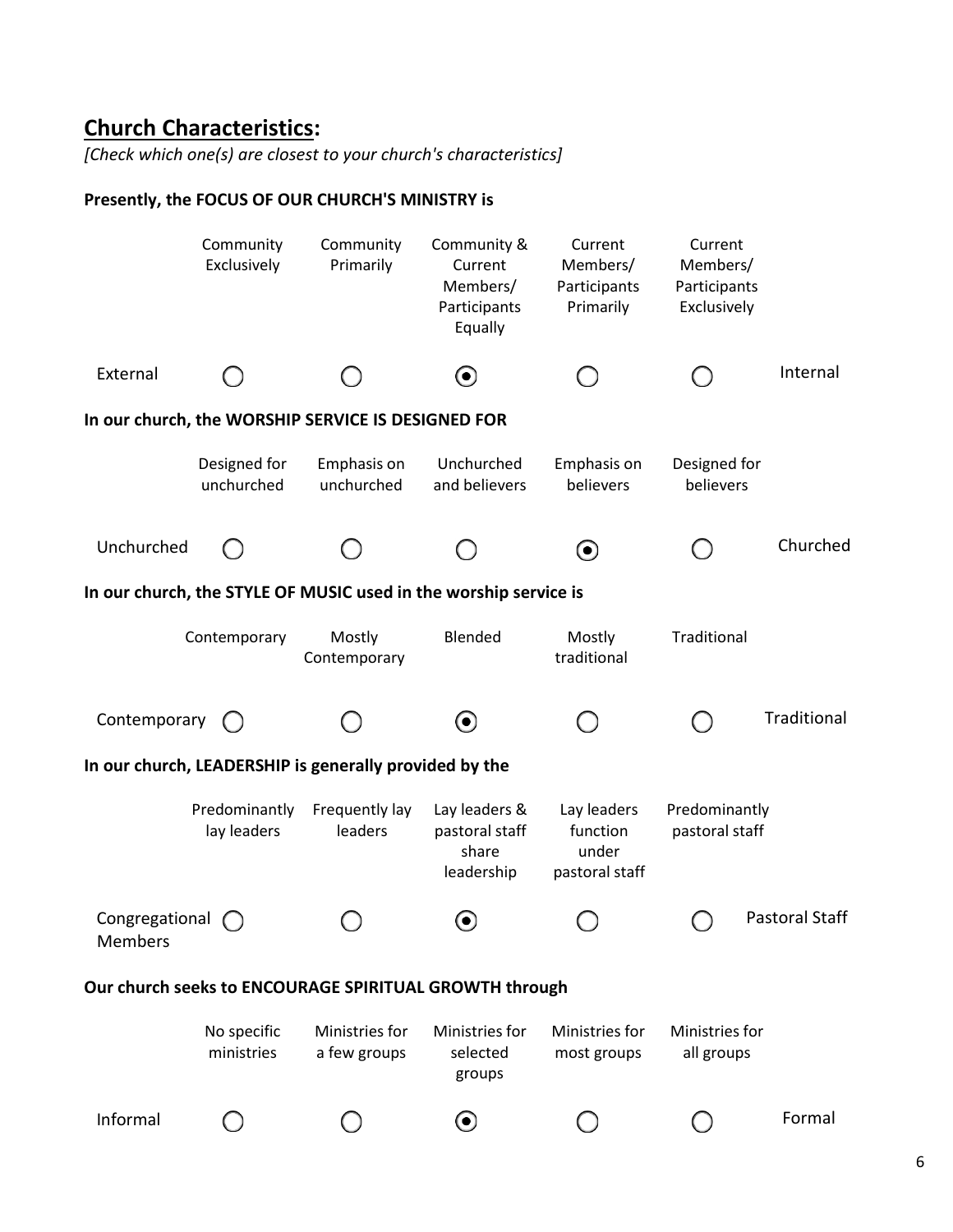# **Church Characteristics:**

*[Check which one(s) are closest to your church's characteristics]*

### **Presently, the FOCUS OF OUR CHURCH'S MINISTRY is**

|                           | Community<br>Exclusively     | Community<br>Primarily                                           | Community &<br>Current<br>Members/<br>Participants<br>Equally | Current<br>Members/<br>Participants<br>Primarily   | Current<br>Members/<br>Participants<br>Exclusively |                       |
|---------------------------|------------------------------|------------------------------------------------------------------|---------------------------------------------------------------|----------------------------------------------------|----------------------------------------------------|-----------------------|
| External                  |                              |                                                                  | $\left( \bullet \right)$                                      |                                                    |                                                    | Internal              |
|                           |                              | In our church, the WORSHIP SERVICE IS DESIGNED FOR               |                                                               |                                                    |                                                    |                       |
|                           | Designed for<br>unchurched   | Emphasis on<br>unchurched                                        | Unchurched<br>and believers                                   | Emphasis on<br>believers                           | Designed for<br>believers                          |                       |
| Unchurched                |                              |                                                                  |                                                               | $\boldsymbol{\Theta}$                              |                                                    | Churched              |
|                           |                              | In our church, the STYLE OF MUSIC used in the worship service is |                                                               |                                                    |                                                    |                       |
|                           | Contemporary                 | Mostly<br>Contemporary                                           | Blended                                                       | Mostly<br>traditional                              | Traditional                                        |                       |
| Contemporary              |                              |                                                                  | $\left( \bullet \right)$                                      |                                                    |                                                    | Traditional           |
|                           |                              | In our church, LEADERSHIP is generally provided by the           |                                                               |                                                    |                                                    |                       |
|                           | Predominantly<br>lay leaders | Frequently lay<br>leaders                                        | Lay leaders &<br>pastoral staff<br>share<br>leadership        | Lay leaders<br>function<br>under<br>pastoral staff | Predominantly<br>pastoral staff                    |                       |
| Congregational<br>Members |                              |                                                                  | $\bullet$                                                     |                                                    |                                                    | <b>Pastoral Staff</b> |
|                           |                              | Our church seeks to ENCOURAGE SPIRITUAL GROWTH through           |                                                               |                                                    |                                                    |                       |
|                           | No specific<br>ministries    | Ministries for<br>a few groups                                   | Ministries for<br>selected<br>groups                          | Ministries for<br>most groups                      | Ministries for<br>all groups                       |                       |
| Informal                  |                              |                                                                  | $\boldsymbol{\Theta}$                                         |                                                    |                                                    | Formal                |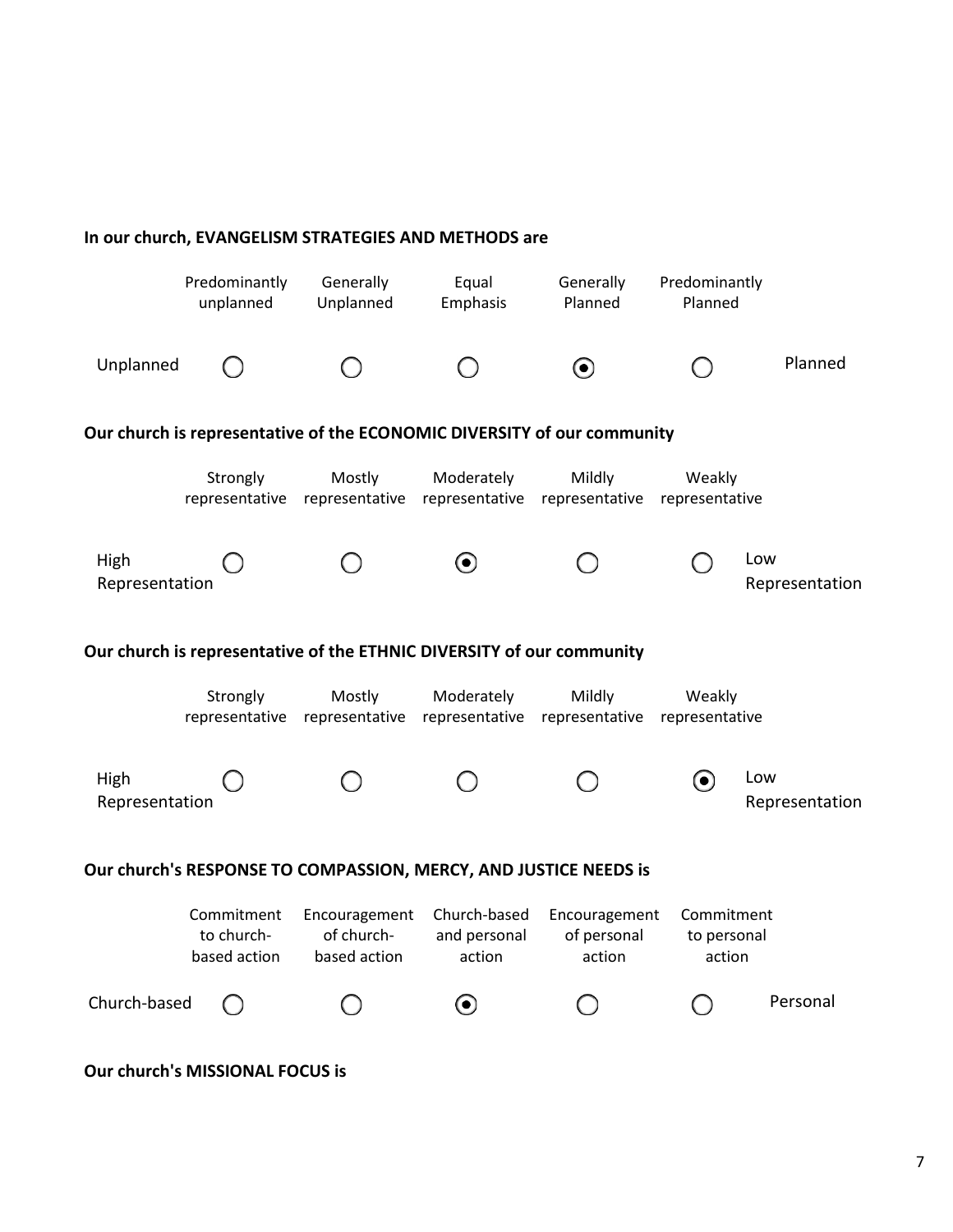|                                                                  |                                          | In our church, EVANGELISM STRATEGIES AND METHODS are                  |                                        |                                                                         |                                     |                       |
|------------------------------------------------------------------|------------------------------------------|-----------------------------------------------------------------------|----------------------------------------|-------------------------------------------------------------------------|-------------------------------------|-----------------------|
|                                                                  | Predominantly<br>unplanned               | Generally<br>Unplanned                                                | Equal<br>Emphasis                      | Generally<br>Planned                                                    | Predominantly<br>Planned            |                       |
| Unplanned                                                        |                                          |                                                                       |                                        | $\boldsymbol{\Theta}$                                                   |                                     | Planned               |
|                                                                  |                                          |                                                                       |                                        | Our church is representative of the ECONOMIC DIVERSITY of our community |                                     |                       |
|                                                                  | Strongly<br>representative               | Mostly<br>representative                                              | Moderately<br>representative           | Mildly<br>representative                                                | Weakly<br>representative            |                       |
| High<br>Representation                                           |                                          |                                                                       | $\boldsymbol{\Theta}$                  |                                                                         |                                     | Low<br>Representation |
|                                                                  |                                          | Our church is representative of the ETHNIC DIVERSITY of our community |                                        |                                                                         |                                     |                       |
|                                                                  | Strongly<br>representative               | Mostly<br>representative                                              | Moderately<br>representative           | Mildly<br>representative                                                | Weakly<br>representative            |                       |
| High<br>Representation                                           |                                          |                                                                       |                                        |                                                                         | $\bf O$                             | Low<br>Representation |
| Our church's RESPONSE TO COMPASSION, MERCY, AND JUSTICE NEEDS is |                                          |                                                                       |                                        |                                                                         |                                     |                       |
|                                                                  | Commitment<br>to church-<br>based action | Encouragement<br>of church-<br>based action                           | Church-based<br>and personal<br>action | Encouragement<br>of personal<br>action                                  | Commitment<br>to personal<br>action |                       |
| Church-based                                                     |                                          |                                                                       | O                                      |                                                                         |                                     | Personal              |

# **In our church, EVANGELISM STRATEGIES AND METHODS are**

**Our church's MISSIONAL FOCUS is**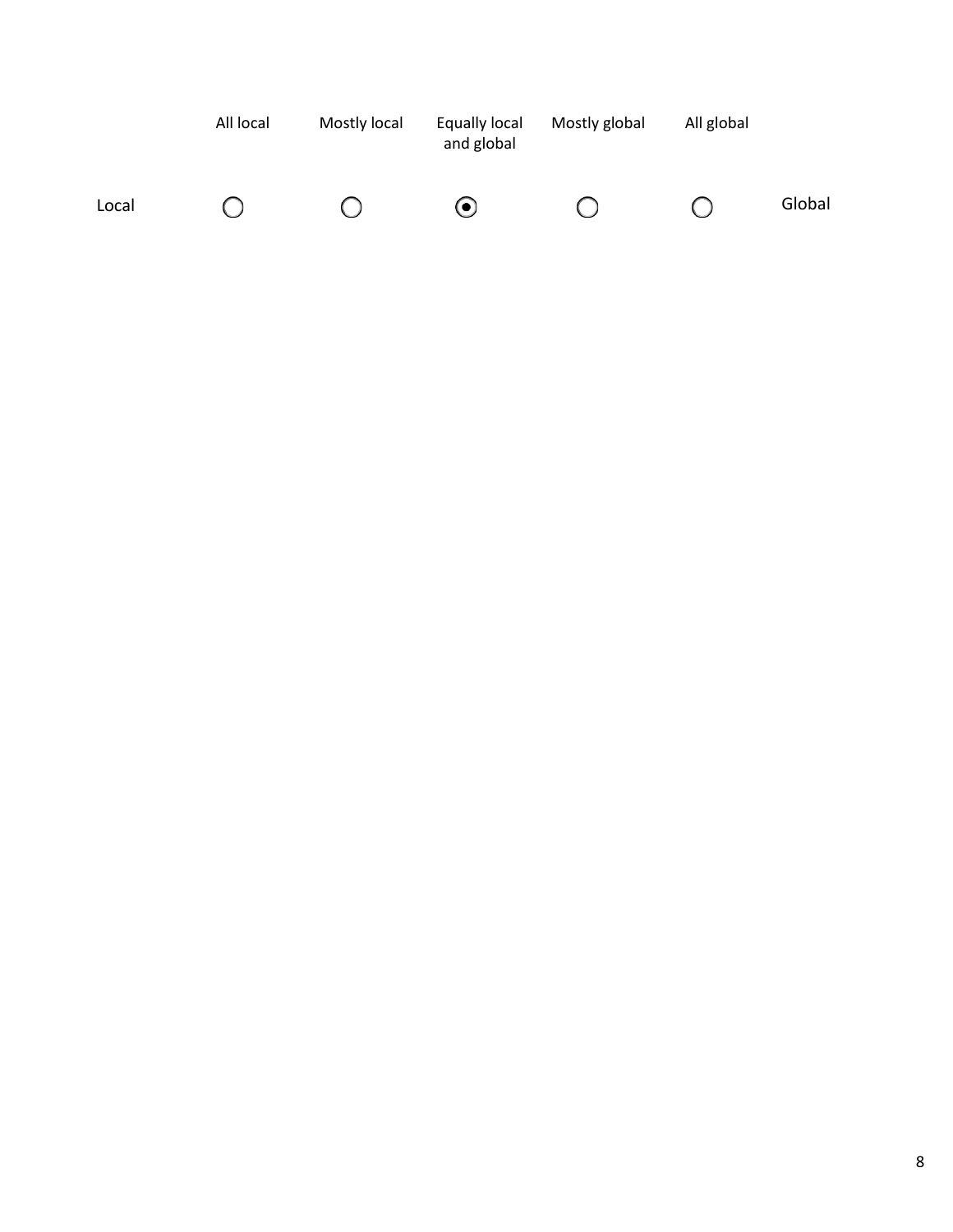|       | All local | Mostly local | Equally local<br>and global | Mostly global | All global |        |
|-------|-----------|--------------|-----------------------------|---------------|------------|--------|
| Local |           |              | $\left( \bullet \right)$    |               |            | Global |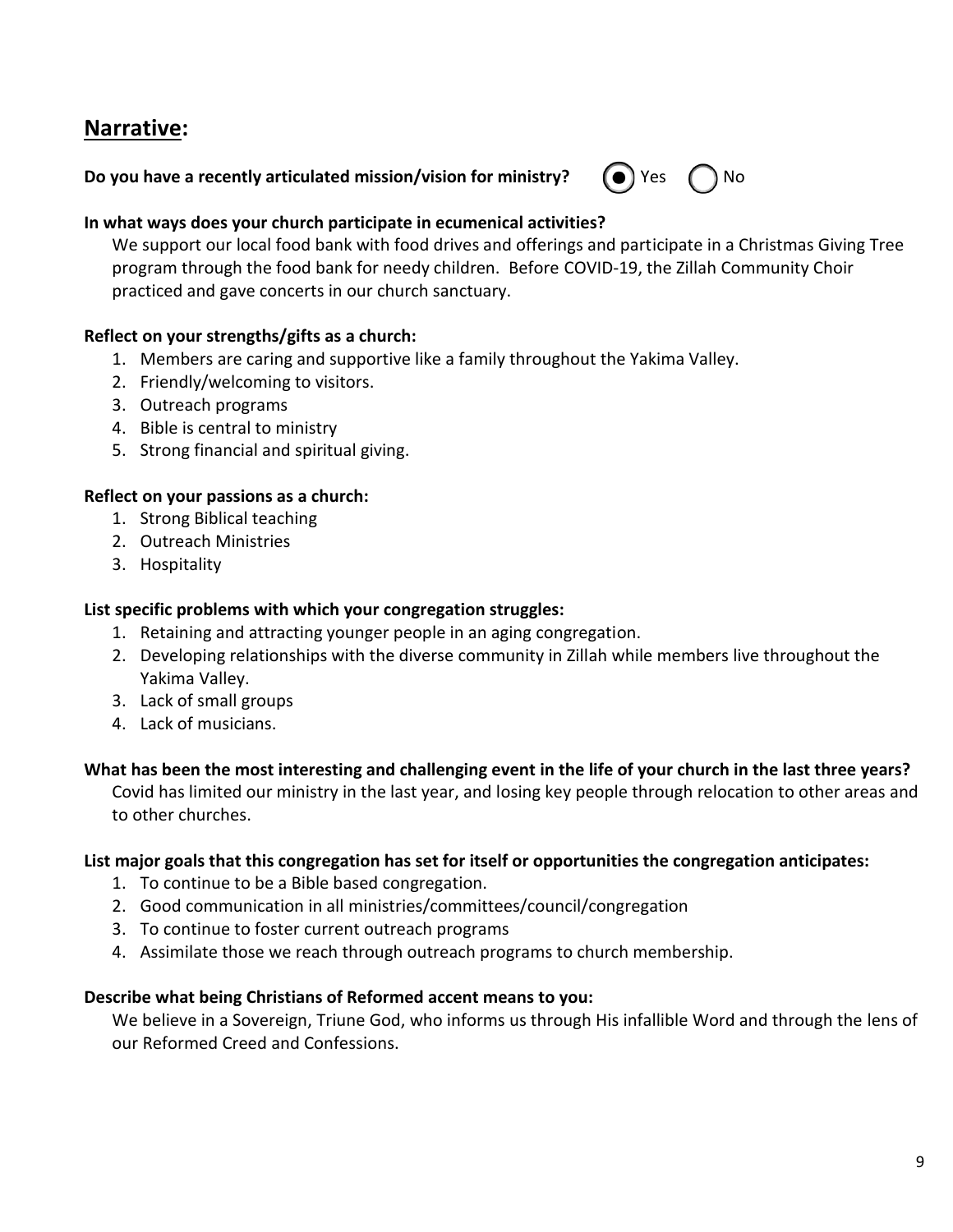# **Narrative:**

# **Do you have a recently articulated mission/vision for ministry?**  $\bullet$  **Yes**  $\bullet$  **No**



#### **In what ways does your church participate in ecumenical activities?**

We support our local food bank with food drives and offerings and participate in a Christmas Giving Tree program through the food bank for needy children. Before COVID-19, the Zillah Community Choir practiced and gave concerts in our church sanctuary.

#### **Reflect on your strengths/gifts as a church:**

- 1. Members are caring and supportive like a family throughout the Yakima Valley.
- 2. Friendly/welcoming to visitors.
- 3. Outreach programs
- 4. Bible is central to ministry
- 5. Strong financial and spiritual giving.

#### **Reflect on your passions as a church:**

- 1. Strong Biblical teaching
- 2. Outreach Ministries
- 3. Hospitality

#### **List specific problems with which your congregation struggles:**

- 1. Retaining and attracting younger people in an aging congregation.
- 2. Developing relationships with the diverse community in Zillah while members live throughout the Yakima Valley.
- 3. Lack of small groups
- 4. Lack of musicians.

### **What has been the most interesting and challenging event in the life of your church in the last three years?**

Covid has limited our ministry in the last year, and losing key people through relocation to other areas and to other churches.

#### **List major goals that this congregation has set for itself or opportunities the congregation anticipates:**

- 1. To continue to be a Bible based congregation.
- 2. Good communication in all ministries/committees/council/congregation
- 3. To continue to foster current outreach programs
- 4. Assimilate those we reach through outreach programs to church membership.

#### **Describe what being Christians of Reformed accent means to you:**

We believe in a Sovereign, Triune God, who informs us through His infallible Word and through the lens of our Reformed Creed and Confessions.